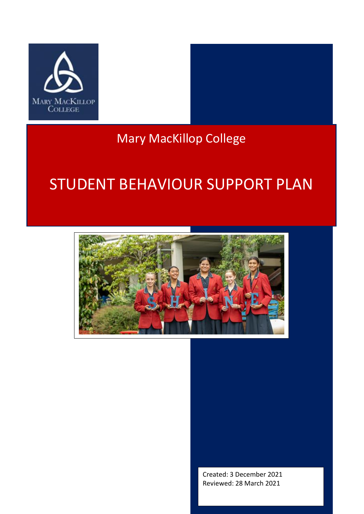

# Mary MacKillop College

# STUDENT BEHAVIOUR SUPPORT PLAN



Created: 3 December 2021 Reviewed: 28 March 2021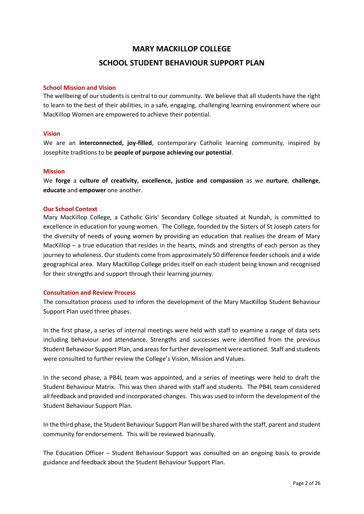# **MARY MACKILLOP COLLEGE SCHOOL STUDENT BEHAVIOUR SUPPORT PLAN**

#### **School Mission and Vision**

The wellbeing of our students is central to our community. We believe that all students have the right to learn to the best of their abilities, in a safe, engaging, challenging learning environment where our MacKillop Women are empowered to achieve their potential.

#### **Vision**

We are an **interconnected, joy-filled**, contemporary Catholic learning community, inspired by Josephite traditions to be **people of purpose achieving our potential**.

#### **Mission**

We **forge** a **culture of creativity, excellence, justice and compassion** as we **nurture**, **challenge**, **educate** and **empower** one another.

#### **Our School Context**

Mary MacKillop College, a Catholic Girls' Secondary College situated at Nundah, is committed to excellence in education for young women. The College, founded by the Sisters of St Joseph caters for the diversity of needs of young women by providing an education that realises the dream of Mary MacKillop – a true education that resides in the hearts, minds and strengths of each person as they journey to wholeness. Our students come from approximately 50 difference feeder schools and a wide geographical area. Mary MacKillop College prides itself on each student being known and recognised for their strengths and support through their learning journey.

#### **Consultation and Review Process**

The consultation process used to inform the development of the Mary MacKillop Student Behaviour Support Plan used three phases.

In the first phase, a series of internal meetings were held with staff to examine a range of data sets including behaviour and attendance. Strengths and successes were identified from the previous Student Behaviour Support Plan, and areas for further development were actioned. Staff and students were consulted to further review the College's Vision, Mission and Values.

In the second phase, a PB4L team was appointed, and a series of meetings were held to draft the Student Behaviour Matrix. This was then shared with staff and students. The PB4L team considered all feedback and provided and incorporated changes. This was used to inform the development of the Student Behaviour Support Plan.

In the third phase, the Student Behaviour Support Plan will be shared with the staff, parent and student community for endorsement. This will be reviewed biannually.

The Education Officer – Student Behaviour Support was consulted on an ongoing basis to provide guidance and feedback about the Student Behaviour Support Plan.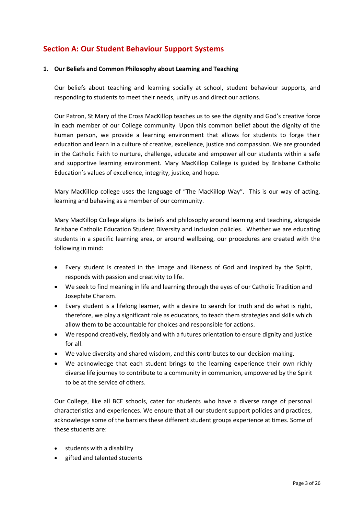# **Section A: Our Student Behaviour Support Systems**

#### **1. Our Beliefs and Common Philosophy about Learning and Teaching**

Our beliefs about teaching and learning socially at school, student behaviour supports, and responding to students to meet their needs, unify us and direct our actions.

Our Patron, St Mary of the Cross MacKillop teaches us to see the dignity and God's creative force in each member of our College community. Upon this common belief about the dignity of the human person, we provide a learning environment that allows for students to forge their education and learn in a culture of creative, excellence, justice and compassion. We are grounded in the Catholic Faith to nurture, challenge, educate and empower all our students within a safe and supportive learning environment. Mary MacKillop College is guided by Brisbane Catholic Education's values of excellence, integrity, justice, and hope.

Mary MacKillop college uses the language of "The MacKillop Way". This is our way of acting, learning and behaving as a member of our community.

Mary MacKillop College aligns its beliefs and philosophy around learning and teaching, alongside Brisbane Catholic Education Student Diversity and Inclusion policies. Whether we are educating students in a specific learning area, or around wellbeing, our procedures are created with the following in mind:

- Every student is created in the image and likeness of God and inspired by the Spirit, responds with passion and creativity to life.
- We seek to find meaning in life and learning through the eyes of our Catholic Tradition and Josephite Charism.
- Every student is a lifelong learner, with a desire to search for truth and do what is right, therefore, we play a significant role as educators, to teach them strategies and skills which allow them to be accountable for choices and responsible for actions.
- We respond creatively, flexibly and with a futures orientation to ensure dignity and justice for all.
- We value diversity and shared wisdom, and this contributes to our decision-making.
- We acknowledge that each student brings to the learning experience their own richly diverse life journey to contribute to a community in communion, empowered by the Spirit to be at the service of others.

Our College, like all BCE schools, cater for students who have a diverse range of personal characteristics and experiences. We ensure that all our student support policies and practices, acknowledge some of the barriers these different student groups experience at times. Some of these students are:

- students with a disability
- gifted and talented students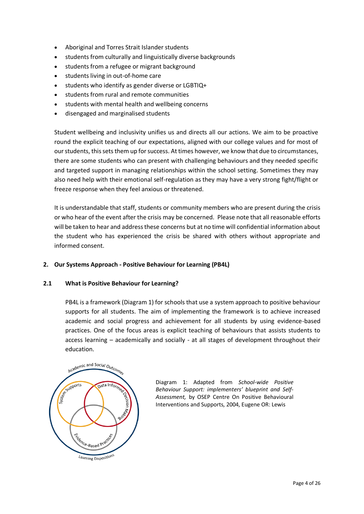- Aboriginal and Torres Strait Islander students
- students from culturally and linguistically diverse backgrounds
- students from a refugee or migrant background
- students living in out-of-home care
- students who identify as gender diverse or LGBTIQ+
- students from rural and remote communities
- students with mental health and wellbeing concerns
- disengaged and marginalised students

Student wellbeing and inclusivity unifies us and directs all our actions. We aim to be proactive round the explicit teaching of our expectations, aligned with our college values and for most of our students, this sets them up for success. At times however, we know that due to circumstances, there are some students who can present with challenging behaviours and they needed specific and targeted support in managing relationships within the school setting. Sometimes they may also need help with their emotional self-regulation as they may have a very strong fight/flight or freeze response when they feel anxious or threatened.

It is understandable that staff, students or community members who are present during the crisis or who hear of the event after the crisis may be concerned. Please note that all reasonable efforts will be taken to hear and address these concerns but at no time will confidential information about the student who has experienced the crisis be shared with others without appropriate and informed consent.

#### **2. Our Systems Approach - Positive Behaviour for Learning (PB4L)**

#### **2.1 What is Positive Behaviour for Learning?**

PB4L is a framework (Diagram 1) for schools that use a system approach to positive behaviour supports for all students. The aim of implementing the framework is to achieve increased academic and social progress and achievement for all students by using evidence-based practices. One of the focus areas is explicit teaching of behaviours that assists students to access learning – academically and socially - at all stages of development throughout their education.



Diagram 1: Adapted from *School-wide Positive Behaviour Support: implementers' blueprint and Self-Assessment,* by OSEP Centre On Positive Behavioural Interventions and Supports, 2004, Eugene OR: Lewis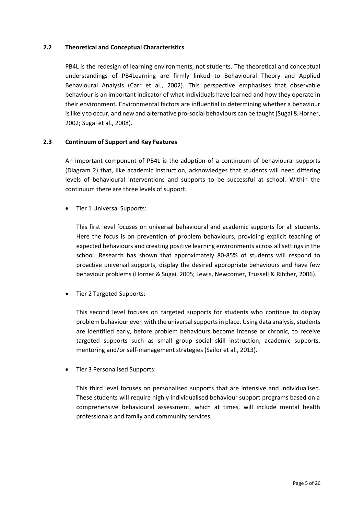#### **2.2 Theoretical and Conceptual Characteristics**

PB4L is the redesign of learning environments, not students. The theoretical and conceptual understandings of PB4Learning are firmly linked to Behavioural Theory and Applied Behavioural Analysis (Carr et al., 2002). This perspective emphasises that observable behaviour is an important indicator of what individuals have learned and how they operate in their environment. Environmental factors are influential in determining whether a behaviour is likely to occur, and new and alternative pro-social behaviours can be taught (Sugai & Horner, 2002; Sugai et al., 2008).

#### **2.3 Continuum of Support and Key Features**

An important component of PB4L is the adoption of a continuum of behavioural supports (Diagram 2) that, like academic instruction, acknowledges that students will need differing levels of behavioural interventions and supports to be successful at school. Within the continuum there are three levels of support.

• Tier 1 Universal Supports:

This first level focuses on universal behavioural and academic supports for all students. Here the focus is on prevention of problem behaviours, providing explicit teaching of expected behaviours and creating positive learning environments across all settings in the school. Research has shown that approximately 80-85% of students will respond to proactive universal supports, display the desired appropriate behaviours and have few behaviour problems (Horner & Sugai, 2005; Lewis, Newcomer, Trussell & Ritcher, 2006).

• Tier 2 Targeted Supports:

This second level focuses on targeted supports for students who continue to display problem behaviour even with the universal supports in place. Using data analysis, students are identified early, before problem behaviours become intense or chronic, to receive targeted supports such as small group social skill instruction, academic supports, mentoring and/or self-management strategies (Sailor et al., 2013).

• Tier 3 Personalised Supports:

This third level focuses on personalised supports that are intensive and individualised. These students will require highly individualised behaviour support programs based on a comprehensive behavioural assessment, which at times, will include mental health professionals and family and community services.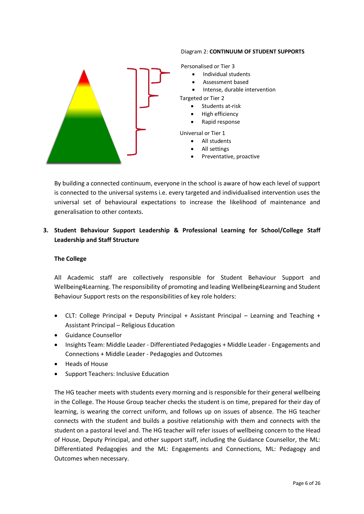#### Diagram 2: **CONTINUUM OF STUDENT SUPPORTS**



Personalised or Tier 3

- Individual students
- Assessment based
- Intense, durable intervention

Targeted or Tier 2

- Students at-risk
- High efficiency
- Rapid response

Universal or Tier 1

- All students
- All settings
- Preventative, proactive

By building a connected continuum, everyone in the school is aware of how each level of support is connected to the universal systems i.e. every targeted and individualised intervention uses the universal set of behavioural expectations to increase the likelihood of maintenance and generalisation to other contexts.

### **3. Student Behaviour Support Leadership & Professional Learning for School/College Staff Leadership and Staff Structure**

#### **The College**

All Academic staff are collectively responsible for Student Behaviour Support and Wellbeing4Learning. The responsibility of promoting and leading Wellbeing4Learning and Student Behaviour Support rests on the responsibilities of key role holders:

- CLT: College Principal + Deputy Principal + Assistant Principal Learning and Teaching + Assistant Principal – Religious Education
- Guidance Counsellor
- Insights Team: Middle Leader Differentiated Pedagogies + Middle Leader Engagements and Connections + Middle Leader - Pedagogies and Outcomes
- Heads of House
- Support Teachers: Inclusive Education

The HG teacher meets with students every morning and is responsible for their general wellbeing in the College. The House Group teacher checks the student is on time, prepared for their day of learning, is wearing the correct uniform, and follows up on issues of absence. The HG teacher connects with the student and builds a positive relationship with them and connects with the student on a pastoral level and. The HG teacher will refer issues of wellbeing concern to the Head of House, Deputy Principal, and other support staff, including the Guidance Counsellor, the ML: Differentiated Pedagogies and the ML: Engagements and Connections, ML: Pedagogy and Outcomes when necessary.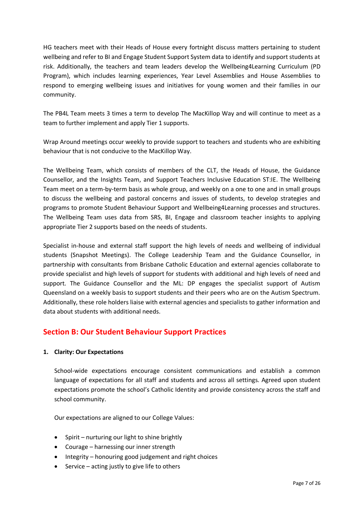HG teachers meet with their Heads of House every fortnight discuss matters pertaining to student wellbeing and refer to BI and Engage Student Support System data to identify and support students at risk. Additionally, the teachers and team leaders develop the Wellbeing4Learning Curriculum (PD Program), which includes learning experiences, Year Level Assemblies and House Assemblies to respond to emerging wellbeing issues and initiatives for young women and their families in our community.

The PB4L Team meets 3 times a term to develop The MacKillop Way and will continue to meet as a team to further implement and apply Tier 1 supports.

Wrap Around meetings occur weekly to provide support to teachers and students who are exhibiting behaviour that is not conducive to the MacKillop Way.

The Wellbeing Team, which consists of members of the CLT, the Heads of House, the Guidance Counsellor, and the Insights Team, and Support Teachers Inclusive Education ST:IE. The Wellbeing Team meet on a term-by-term basis as whole group, and weekly on a one to one and in small groups to discuss the wellbeing and pastoral concerns and issues of students, to develop strategies and programs to promote Student Behaviour Support and Wellbeing4Learning processes and structures. The Wellbeing Team uses data from SRS, BI, Engage and classroom teacher insights to applying appropriate Tier 2 supports based on the needs of students.

Specialist in-house and external staff support the high levels of needs and wellbeing of individual students (Snapshot Meetings). The College Leadership Team and the Guidance Counsellor, in partnership with consultants from Brisbane Catholic Education and external agencies collaborate to provide specialist and high levels of support for students with additional and high levels of need and support. The Guidance Counsellor and the ML: DP engages the specialist support of Autism Queensland on a weekly basis to support students and their peers who are on the Autism Spectrum. Additionally, these role holders liaise with external agencies and specialists to gather information and data about students with additional needs.

# **Section B: Our Student Behaviour Support Practices**

#### **1. Clarity: Our Expectations**

School-wide expectations encourage consistent communications and establish a common language of expectations for all staff and students and across all settings. Agreed upon student expectations promote the school's Catholic Identity and provide consistency across the staff and school community.

Our expectations are aligned to our College Values:

- Spirit nurturing our light to shine brightly
- Courage harnessing our inner strength
- Integrity honouring good judgement and right choices
- Service acting justly to give life to others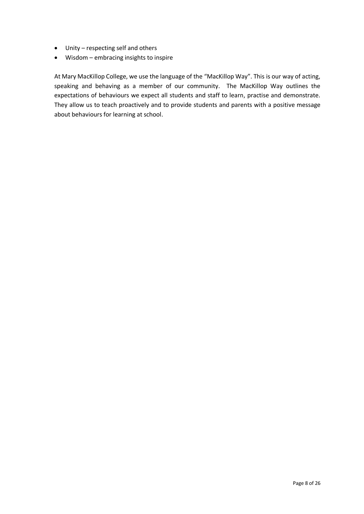- Unity respecting self and others
- Wisdom embracing insights to inspire

At Mary MacKillop College, we use the language of the "MacKillop Way". This is our way of acting, speaking and behaving as a member of our community. The MacKillop Way outlines the expectations of behaviours we expect all students and staff to learn, practise and demonstrate. They allow us to teach proactively and to provide students and parents with a positive message about behaviours for learning at school.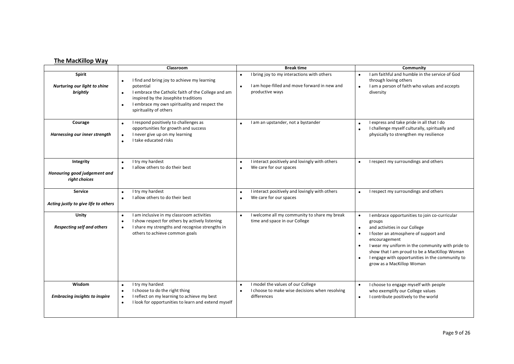#### **The MacKillop Way**

|                                                            | Classroom                                                                                                                                                                                                                                                                | <b>Break time</b>                                                                                                                       | Community                                                                                                                                                                                                                                                                                                                              |
|------------------------------------------------------------|--------------------------------------------------------------------------------------------------------------------------------------------------------------------------------------------------------------------------------------------------------------------------|-----------------------------------------------------------------------------------------------------------------------------------------|----------------------------------------------------------------------------------------------------------------------------------------------------------------------------------------------------------------------------------------------------------------------------------------------------------------------------------------|
| <b>Spirit</b><br>Nurturing our light to shine<br>brightly  | I find and bring joy to achieve my learning<br>$\bullet$<br>potential<br>I embrace the Catholic faith of the College and am<br>$\bullet$<br>inspired by the Josephite traditions<br>I embrace my own spirituality and respect the<br>$\bullet$<br>spirituality of others | I bring joy to my interactions with others<br>$\bullet$<br>I am hope-filled and move forward in new and<br>$\bullet$<br>productive ways | I am faithful and humble in the service of God<br>through loving others<br>I am a person of faith who values and accepts<br>diversity                                                                                                                                                                                                  |
| Courage<br>Harnessing our inner strength                   | I respond positively to challenges as<br>opportunities for growth and success<br>I never give up on my learning<br>$\bullet$<br>I take educated risks<br>$\bullet$                                                                                                       | I am an upstander, not a bystander                                                                                                      | I express and take pride in all that I do<br>I challenge myself culturally, spiritually and<br>physically to strengthen my resilience                                                                                                                                                                                                  |
| Integrity<br>Honouring good judgement and<br>right choices | I try my hardest<br>$\bullet$<br>I allow others to do their best                                                                                                                                                                                                         | I interact positively and lovingly with others<br>$\bullet$<br>We care for our spaces<br>$\bullet$                                      | I respect my surroundings and others                                                                                                                                                                                                                                                                                                   |
| <b>Service</b><br>Acting justly to give life to others     | I try my hardest<br>$\bullet$<br>I allow others to do their best<br>$\bullet$                                                                                                                                                                                            | I interact positively and lovingly with others<br>$\bullet$<br>We care for our spaces<br>$\bullet$                                      | I respect my surroundings and others<br>$\bullet$                                                                                                                                                                                                                                                                                      |
| Unity<br><b>Respecting self and others</b>                 | I am inclusive in my classroom activities<br>I show respect for others by actively listening<br>$\bullet$<br>I share my strengths and recognise strengths in<br>$\bullet$<br>others to achieve common goals                                                              | I welcome all my community to share my break<br>$\bullet$<br>time and space in our College                                              | I embrace opportunities to join co-curricular<br>groups<br>and activities in our College<br>I foster an atmosphere of support and<br>encouragement<br>I wear my uniform in the community with pride to<br>show that I am proud to be a MacKillop Woman<br>I engage with opportunities in the community to<br>grow as a MacKillop Woman |
| Wisdom<br><b>Embracing insights to inspire</b>             | I try my hardest<br>I choose to do the right thing<br>$\bullet$<br>I reflect on my learning to achieve my best<br>$\bullet$<br>I look for opportunities to learn and extend myself                                                                                       | I model the values of our College<br>$\bullet$<br>I choose to make wise decisions when resolving<br>$\bullet$<br>differences            | I choose to engage myself with people<br>$\bullet$<br>who exemplify our College values<br>I contribute positively to the world<br>$\bullet$                                                                                                                                                                                            |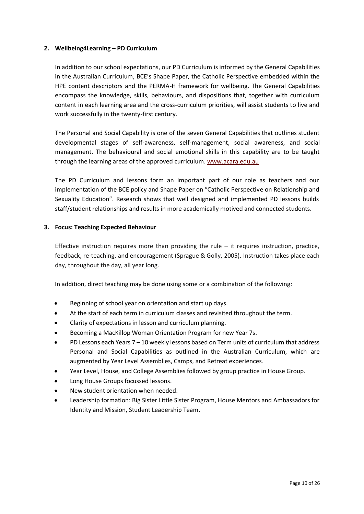#### **2. Wellbeing4Learning – PD Curriculum**

In addition to our school expectations, our PD Curriculum is informed by the General Capabilities in the Australian Curriculum, BCE's Shape Paper, the Catholic Perspective embedded within the HPE content descriptors and the PERMA-H framework for wellbeing. The General Capabilities encompass the knowledge, skills, behaviours, and dispositions that, together with curriculum content in each learning area and the cross-curriculum priorities, will assist students to live and work successfully in the twenty-first century.

The Personal and Social Capability is one of the seven General Capabilities that outlines student developmental stages of self-awareness, self-management, social awareness, and social management. The behavioural and social emotional skills in this capability are to be taught through the learning areas of the approved curriculum. [www.acara.edu.au](http://www.acara.edu.au/)

The PD Curriculum and lessons form an important part of our role as teachers and our implementation of the BCE policy and Shape Paper on "Catholic Perspective on Relationship and Sexuality Education". Research shows that well designed and implemented PD lessons builds staff/student relationships and results in more academically motived and connected students.

#### **3. Focus: Teaching Expected Behaviour**

Effective instruction requires more than providing the rule  $-$  it requires instruction, practice, feedback, re-teaching, and encouragement (Sprague & Golly, 2005). Instruction takes place each day, throughout the day, all year long.

In addition, direct teaching may be done using some or a combination of the following:

- Beginning of school year on orientation and start up days.
- At the start of each term in curriculum classes and revisited throughout the term.
- Clarity of expectations in lesson and curriculum planning.
- Becoming a MacKillop Woman Orientation Program for new Year 7s.
- PD Lessons each Years 7 10 weekly lessons based on Term units of curriculum that address Personal and Social Capabilities as outlined in the Australian Curriculum, which are augmented by Year Level Assemblies, Camps, and Retreat experiences.
- Year Level, House, and College Assemblies followed by group practice in House Group.
- Long House Groups focussed lessons.
- New student orientation when needed.
- Leadership formation: Big Sister Little Sister Program, House Mentors and Ambassadors for Identity and Mission, Student Leadership Team.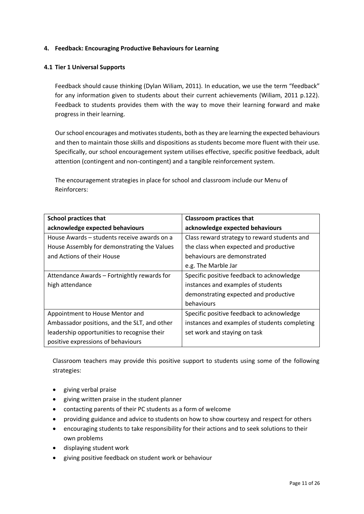#### **4. Feedback: Encouraging Productive Behaviours for Learning**

#### **4.1 Tier 1 Universal Supports**

Feedback should cause thinking (Dylan Wiliam, 2011). In education, we use the term "feedback" for any information given to students about their current achievements (Wiliam, 2011 p.122). Feedback to students provides them with the way to move their learning forward and make progress in their learning.

Our school encourages and motivates students, both as they are learning the expected behaviours and then to maintain those skills and dispositions as students become more fluent with their use. Specifically, our school encouragement system utilises effective, specific positive feedback, adult attention (contingent and non-contingent) and a tangible reinforcement system.

The encouragement strategies in place for school and classroom include our Menu of Reinforcers:

| <b>School practices that</b>                 | <b>Classroom practices that</b>               |  |
|----------------------------------------------|-----------------------------------------------|--|
| acknowledge expected behaviours              | acknowledge expected behaviours               |  |
| House Awards – students receive awards on a  | Class reward strategy to reward students and  |  |
| House Assembly for demonstrating the Values  | the class when expected and productive        |  |
| and Actions of their House                   | behaviours are demonstrated                   |  |
|                                              | e.g. The Marble Jar                           |  |
| Attendance Awards - Fortnightly rewards for  | Specific positive feedback to acknowledge     |  |
| high attendance                              | instances and examples of students            |  |
|                                              | demonstrating expected and productive         |  |
|                                              | behaviours                                    |  |
| Appointment to House Mentor and              | Specific positive feedback to acknowledge     |  |
| Ambassador positions, and the SLT, and other | instances and examples of students completing |  |
| leadership opportunities to recognise their  | set work and staying on task                  |  |
| positive expressions of behaviours           |                                               |  |

Classroom teachers may provide this positive support to students using some of the following strategies:

- giving verbal praise
- giving written praise in the student planner
- contacting parents of their PC students as a form of welcome
- providing guidance and advice to students on how to show courtesy and respect for others
- encouraging students to take responsibility for their actions and to seek solutions to their own problems
- displaying student work
- giving positive feedback on student work or behaviour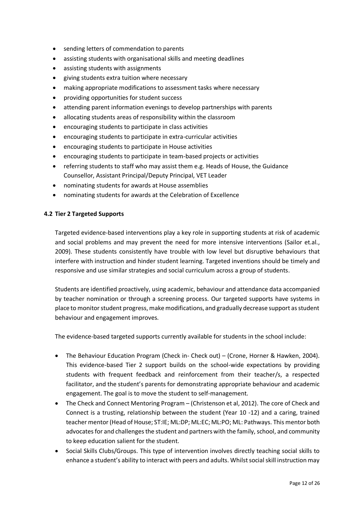- sending letters of commendation to parents
- assisting students with organisational skills and meeting deadlines
- assisting students with assignments
- giving students extra tuition where necessary
- making appropriate modifications to assessment tasks where necessary
- providing opportunities for student success
- attending parent information evenings to develop partnerships with parents
- allocating students areas of responsibility within the classroom
- encouraging students to participate in class activities
- encouraging students to participate in extra-curricular activities
- encouraging students to participate in House activities
- encouraging students to participate in team-based projects or activities
- referring students to staff who may assist them e.g. Heads of House, the Guidance Counsellor, Assistant Principal/Deputy Principal, VET Leader
- nominating students for awards at House assemblies
- nominating students for awards at the Celebration of Excellence

#### **4.2 Tier 2 Targeted Supports**

Targeted evidence-based interventions play a key role in supporting students at risk of academic and social problems and may prevent the need for more intensive interventions (Sailor et.al., 2009). These students consistently have trouble with low level but disruptive behaviours that interfere with instruction and hinder student learning. Targeted inventions should be timely and responsive and use similar strategies and social curriculum across a group of students.

Students are identified proactively, using academic, behaviour and attendance data accompanied by teacher nomination or through a screening process. Our targeted supports have systems in place to monitor student progress, make modifications, and gradually decrease support as student behaviour and engagement improves.

The evidence-based targeted supports currently available for students in the school include:

- The Behaviour Education Program (Check in- Check out) (Crone, Horner & Hawken, 2004). This evidence-based Tier 2 support builds on the school-wide expectations by providing students with frequent feedback and reinforcement from their teacher/s, a respected facilitator, and the student's parents for demonstrating appropriate behaviour and academic engagement. The goal is to move the student to self-management.
- The Check and Connect Mentoring Program (Christenson et al, 2012). The core of Check and Connect is a trusting, relationship between the student (Year 10 -12) and a caring, trained teacher mentor(Head of House; ST:IE; ML:DP; ML:EC; ML:PO; ML: Pathways. This mentor both advocates for and challenges the student and partners with the family, school, and community to keep education salient for the student.
- Social Skills Clubs/Groups. This type of intervention involves directly teaching social skills to enhance a student's ability to interact with peers and adults. Whilst social skill instruction may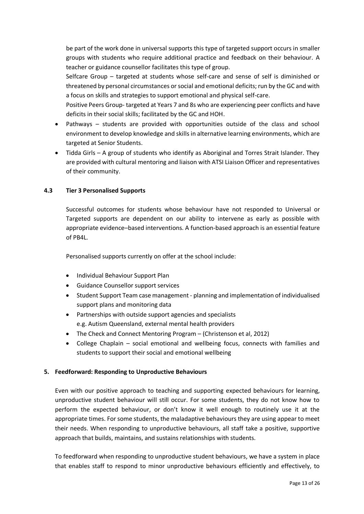be part of the work done in universal supports this type of targeted support occurs in smaller groups with students who require additional practice and feedback on their behaviour. A teacher or guidance counsellor facilitates this type of group.

Selfcare Group – targeted at students whose self-care and sense of self is diminished or threatened by personal circumstances or social and emotional deficits; run by the GC and with a focus on skills and strategies to support emotional and physical self-care.

Positive Peers Group- targeted at Years 7 and 8s who are experiencing peer conflicts and have deficits in their social skills; facilitated by the GC and HOH.

- Pathways students are provided with opportunities outside of the class and school environment to develop knowledge and skills in alternative learning environments, which are targeted at Senior Students.
- Tidda Girls A group of students who identify as Aboriginal and Torres Strait Islander. They are provided with cultural mentoring and liaison with ATSI Liaison Officer and representatives of their community.

#### **4.3 Tier 3 Personalised Supports**

Successful outcomes for students whose behaviour have not responded to Universal or Targeted supports are dependent on our ability to intervene as early as possible with appropriate evidence–based interventions. A function-based approach is an essential feature of PB4L.

Personalised supports currently on offer at the school include:

- Individual Behaviour Support Plan
- Guidance Counsellor support services
- Student Support Team case management planning and implementation of individualised support plans and monitoring data
- Partnerships with outside support agencies and specialists e.g. Autism Queensland, external mental health providers
- The Check and Connect Mentoring Program (Christenson et al, 2012)
- College Chaplain social emotional and wellbeing focus, connects with families and students to support their social and emotional wellbeing

#### **5. Feedforward: Responding to Unproductive Behaviours**

Even with our positive approach to teaching and supporting expected behaviours for learning, unproductive student behaviour will still occur. For some students, they do not know how to perform the expected behaviour, or don't know it well enough to routinely use it at the appropriate times. For some students, the maladaptive behaviours they are using appear to meet their needs. When responding to unproductive behaviours, all staff take a positive, supportive approach that builds, maintains, and sustains relationships with students.

To feedforward when responding to unproductive student behaviours, we have a system in place that enables staff to respond to minor unproductive behaviours efficiently and effectively, to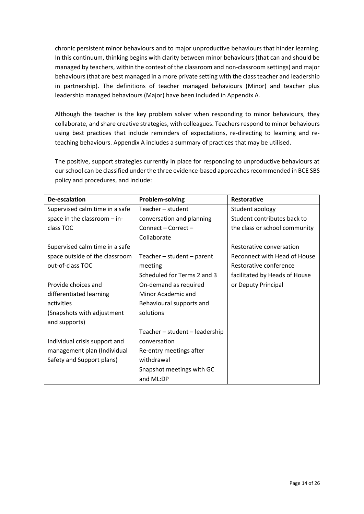chronic persistent minor behaviours and to major unproductive behaviours that hinder learning. In this continuum, thinking begins with clarity between minor behaviours (that can and should be managed by teachers, within the context of the classroom and non-classroom settings) and major behaviours(that are best managed in a more private setting with the class teacher and leadership in partnership). The definitions of teacher managed behaviours (Minor) and teacher plus leadership managed behaviours (Major) have been included in Appendix A.

Although the teacher is the key problem solver when responding to minor behaviours, they collaborate, and share creative strategies, with colleagues. Teachers respond to minor behaviours using best practices that include reminders of expectations, re-directing to learning and reteaching behaviours. Appendix A includes a summary of practices that may be utilised.

The positive, support strategies currently in place for responding to unproductive behaviours at ourschool can be classified under the three evidence-based approaches recommended in BCE SBS policy and procedures, and include:

| De-escalation                  | Problem-solving                | <b>Restorative</b>            |
|--------------------------------|--------------------------------|-------------------------------|
| Supervised calm time in a safe | Teacher - student              | Student apology               |
| space in the classroom $-$ in- | conversation and planning      | Student contributes back to   |
| class TOC                      | Connect - Correct -            | the class or school community |
|                                | Collaborate                    |                               |
| Supervised calm time in a safe |                                | Restorative conversation      |
| space outside of the classroom | Teacher - student - parent     | Reconnect with Head of House  |
| out-of-class TOC               | meeting                        | Restorative conference        |
|                                | Scheduled for Terms 2 and 3    | facilitated by Heads of House |
| Provide choices and            | On-demand as required          | or Deputy Principal           |
| differentiated learning        | Minor Academic and             |                               |
| activities                     | Behavioural supports and       |                               |
| (Snapshots with adjustment     | solutions                      |                               |
| and supports)                  |                                |                               |
|                                | Teacher - student - leadership |                               |
| Individual crisis support and  | conversation                   |                               |
| management plan (Individual    | Re-entry meetings after        |                               |
| Safety and Support plans)      | withdrawal                     |                               |
|                                | Snapshot meetings with GC      |                               |
|                                | and ML:DP                      |                               |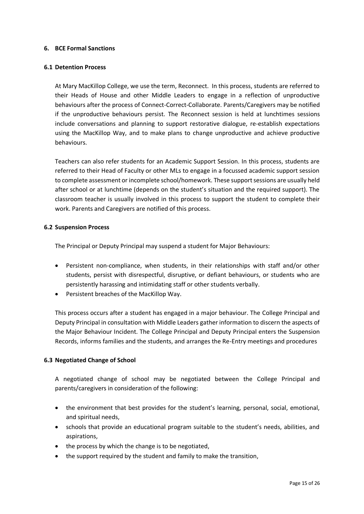#### **6. BCE Formal Sanctions**

#### **6.1 Detention Process**

At Mary MacKillop College, we use the term, Reconnect. In this process, students are referred to their Heads of House and other Middle Leaders to engage in a reflection of unproductive behaviours after the process of Connect-Correct-Collaborate. Parents/Caregivers may be notified if the unproductive behaviours persist. The Reconnect session is held at lunchtimes sessions include conversations and planning to support restorative dialogue, re-establish expectations using the MacKillop Way, and to make plans to change unproductive and achieve productive behaviours.

Teachers can also refer students for an Academic Support Session. In this process, students are referred to their Head of Faculty or other MLs to engage in a focussed academic support session to complete assessment or incomplete school/homework. These support sessions are usually held after school or at lunchtime (depends on the student's situation and the required support). The classroom teacher is usually involved in this process to support the student to complete their work. Parents and Caregivers are notified of this process.

#### **6.2 [Suspension Process](https://mybcecatholicedu.sharepoint.com/policies-and-procedures/ResourceStore/Suspension%20procedure.pdf#search=suspension)**

The Principal or Deputy Principal may suspend a student for Major Behaviours:

- Persistent non-compliance, when students, in their relationships with staff and/or other students, persist with disrespectful, disruptive, or defiant behaviours, or students who are persistently harassing and intimidating staff or other students verbally.
- Persistent breaches of the MacKillop Way.

This process occurs after a student has engaged in a major behaviour. The College Principal and Deputy Principal in consultation with Middle Leaders gather information to discern the aspects of the Major Behaviour Incident. The College Principal and Deputy Principal enters the Suspension Records, informs families and the students, and arranges the Re-Entry meetings and procedures

#### **6.3 [Negotiated Change of School](https://mybcecatholicedu.sharepoint.com/policies-and-procedures/ResourceStore/Negoitated%20Change%20of%20School%20procedure.pdf#search=negotiated%20change%20of%20school)**

A negotiated change of school may be negotiated between the College Principal and parents/caregivers in consideration of the following:

- the environment that best provides for the student's learning, personal, social, emotional, and spiritual needs,
- schools that provide an educational program suitable to the student's needs, abilities, and aspirations,
- the process by which the change is to be negotiated,
- the support required by the student and family to make the transition,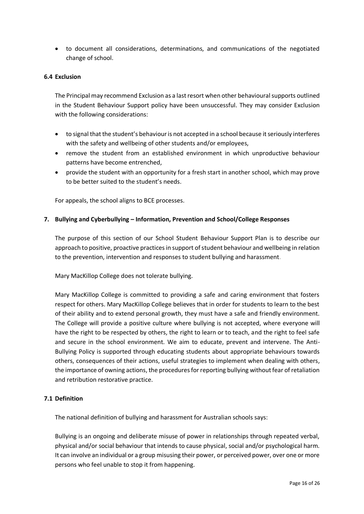• to document all considerations, determinations, and communications of the negotiated change of school.

#### **6.4 [Exclusion](https://mybcecatholicedu.sharepoint.com/policies-and-procedures/ResourceStore/Exclusion%20procedure.pdf?csf=1&e=3JQkUL&cid=5f51d06b-7979-4740-897b-24a8614e1d4a)**

The Principal may recommend Exclusion as a last resort when other behavioural supports outlined in the Student Behaviour Support policy have been unsuccessful. They may consider Exclusion with the following considerations:

- to signal that the student's behaviour is not accepted in a school because it seriously interferes with the safety and wellbeing of other students and/or employees,
- remove the student from an established environment in which unproductive behaviour patterns have become entrenched,
- provide the student with an opportunity for a fresh start in another school, which may prove to be better suited to the student's needs.

For appeals, the school aligns to BCE processes.

#### **7. Bullying and Cyberbullying – Information, Prevention and School/College Responses**

The purpose of this section of our School Student Behaviour Support Plan is to describe our approach to positive, proactive practices in support of student behaviour and wellbeing in relation to the prevention, intervention and responses to student bullying and harassment.

Mary MacKillop College does not tolerate bullying.

Mary MacKillop College is committed to providing a safe and caring environment that fosters respect for others. Mary MacKillop College believes that in order for students to learn to the best of their ability and to extend personal growth, they must have a safe and friendly environment. The College will provide a positive culture where bullying is not accepted, where everyone will have the right to be respected by others, the right to learn or to teach, and the right to feel safe and secure in the school environment. We aim to educate, prevent and intervene. The Anti-Bullying Policy is supported through educating students about appropriate behaviours towards others, consequences of their actions, useful strategies to implement when dealing with others, the importance of owning actions, the procedures for reporting bullying without fear of retaliation and retribution restorative practice.

#### **7.1 Definition**

The national definition of bullying and harassment for Australian schools says:

Bullying is an ongoing and deliberate misuse of power in relationships through repeated verbal, physical and/or social behaviour that intends to cause physical, social and/or psychological harm. It can involve an individual or a group misusing their power, or perceived power, over one or more persons who feel unable to stop it from happening.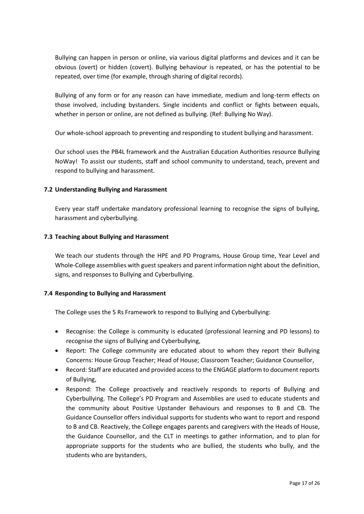Bullying can happen in person or online, via various digital platforms and devices and it can be obvious (overt) or hidden (covert). Bullying behaviour is repeated, or has the potential to be repeated, over time (for example, through sharing of digital records).

Bullying of any form or for any reason can have immediate, medium and long-term effects on those involved, including bystanders. Single incidents and conflict or fights between equals, whether in person or online, are not defined as bullying. (Ref: Bullying No Way).

Our whole-school approach to preventing and responding to student bullying and harassment.

Our school uses the PB4L framework and the Australian Education Authorities resource Bullying NoWay! To assist our students, staff and school community to understand, teach, prevent and respond to bullying and harassment.

#### **7.2 Understanding Bullying and Harassment**

Every year staff undertake mandatory professional learning to recognise the signs of bullying, harassment and cyberbullying.

#### **7.3 Teaching about Bullying and Harassment**

We teach our students through the HPE and PD Programs, House Group time, Year Level and Whole-College assemblies with guest speakers and parent information night about the definition, signs, and responses to Bullying and Cyberbullying.

#### **7.4 Responding to Bullying and Harassment**

The College uses the 5 Rs Framework to respond to Bullying and Cyberbullying:

- Recognise: the College is community is educated (professional learning and PD lessons) to recognise the signs of Bullying and Cyberbullying,
- Report: The College community are educated about to whom they report their Bullying Concerns: House Group Teacher; Head of House; Classroom Teacher; Guidance Counsellor,
- Record: Staff are educated and provided access to the ENGAGE platform to document reports of Bullying,
- Respond: The College proactively and reactively responds to reports of Bullying and Cyberbullying. The College's PD Program and Assemblies are used to educate students and the community about Positive Upstander Behaviours and responses to B and CB. The Guidance Counsellor offers individual supports for students who want to report and respond to B and CB. Reactively, the College engages parents and caregivers with the Heads of House, the Guidance Counsellor, and the CLT in meetings to gather information, and to plan for appropriate supports for the students who are bullied, the students who bully, and the students who are bystanders,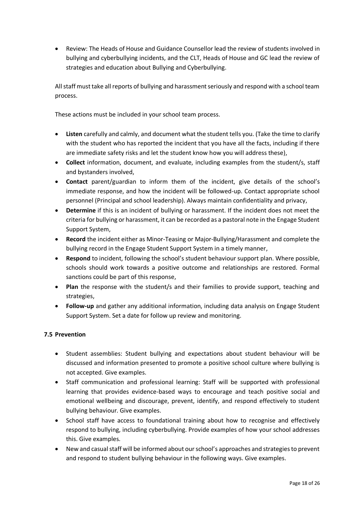• Review: The Heads of House and Guidance Counsellor lead the review of students involved in bullying and cyberbullying incidents, and the CLT, Heads of House and GC lead the review of strategies and education about Bullying and Cyberbullying.

All staff must take all reports of bullying and harassment seriously and respond with a school team process.

These actions must be included in your school team process.

- **Listen** carefully and calmly, and document what the student tells you. (Take the time to clarify with the student who has reported the incident that you have all the facts, including if there are immediate safety risks and let the student know how you will address these),
- **Collect** information, document, and evaluate, including examples from the student/s, staff and bystanders involved,
- **Contact** parent/guardian to inform them of the incident, give details of the school's immediate response, and how the incident will be followed-up. Contact appropriate school personnel (Principal and school leadership). Always maintain confidentiality and privacy,
- **Determine** if this is an incident of bullying or harassment. If the incident does not meet the criteria for bullying or harassment, it can be recorded as a pastoral note in the Engage Student Support System,
- **Record** the incident either as Minor-Teasing or Major-Bullying/Harassment and complete the bullying record in the Engage Student Support System in a timely manner,
- **Respond** to incident, following the school's student behaviour support plan. Where possible, schools should work towards a positive outcome and relationships are restored. Formal sanctions could be part of this response,
- **Plan** the response with the student/s and their families to provide support, teaching and strategies,
- **Follow-up** and gather any additional information, including data analysis on Engage Student Support System. Set a date for follow up review and monitoring.

#### **7.5 Prevention**

- Student assemblies: Student bullying and expectations about student behaviour will be discussed and information presented to promote a positive school culture where bullying is not accepted. Give examples.
- Staff communication and professional learning: Staff will be supported with professional learning that provides evidence-based ways to encourage and teach positive social and emotional wellbeing and discourage, prevent, identify, and respond effectively to student bullying behaviour. Give examples.
- School staff have access to foundational training about how to recognise and effectively respond to bullying, including cyberbullying. Provide examples of how your school addresses this. Give examples.
- New and casual staff will be informed about our school's approaches and strategies to prevent and respond to student bullying behaviour in the following ways. Give examples.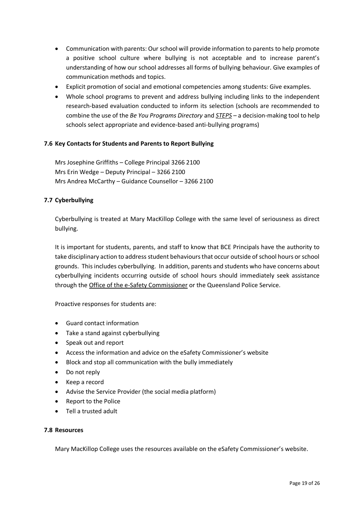- Communication with parents: Our school will provide information to parents to help promote a positive school culture where bullying is not acceptable and to increase parent's understanding of how our school addresses all forms of bullying behaviour. Give examples of communication methods and topics.
- Explicit promotion of social and emotional competencies among students: Give examples.
- Whole school programs to prevent and address bullying including links to the independent research-based evaluation conducted to inform its selection (schools are recommended to combine the use of the *Be You Programs Directory* and *[STEPS](https://bullyingnoway.gov.au/PreventingBullying/STEPS)* – a decision-making tool to help schools select appropriate and evidence-based anti-bullying programs)

#### **7.6 Key Contacts for Students and Parents to Report Bullying**

Mrs Josephine Griffiths – College Principal 3266 2100 Mrs Erin Wedge – Deputy Principal – 3266 2100 Mrs Andrea McCarthy – Guidance Counsellor – 3266 2100

#### **7.7 Cyberbullying**

Cyberbullying is treated at Mary MacKillop College with the same level of seriousness as direct bullying.

It is important for students, parents, and staff to know that BCE Principals have the authority to take disciplinary action to address student behaviours that occur outside of school hours or school grounds. This includes cyberbullying. In addition, parents and students who have concerns about cyberbullying incidents occurring outside of school hours should immediately seek assistance through the [Office of the e-Safety Commissioner](https://www.esafety.gov.au/) or the Queensland Police Service.

Proactive responses for students are:

- Guard contact information
- Take a stand against cyberbullying
- Speak out and report
- Access the information and advice on the eSafety Commissioner's website
- Block and stop all communication with the bully immediately
- Do not reply
- Keep a record
- Advise the Service Provider (the social media platform)
- Report to the Police
- Tell a trusted adult

#### **7.8 Resources**

Mary MacKillop College uses the resources available on the eSafety Commissioner's website.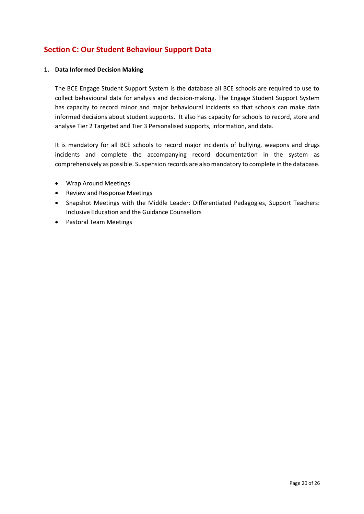# **Section C: Our Student Behaviour Support Data**

#### **1. Data Informed Decision Making**

The BCE Engage Student Support System is the database all BCE schools are required to use to collect behavioural data for analysis and decision-making. The Engage Student Support System has capacity to record minor and major behavioural incidents so that schools can make data informed decisions about student supports. It also has capacity for schools to record, store and analyse Tier 2 Targeted and Tier 3 Personalised supports, information, and data.

It is mandatory for all BCE schools to record major incidents of bullying, weapons and drugs incidents and complete the accompanying record documentation in the system as comprehensively as possible. Suspension records are also mandatory to complete in the database.

- Wrap Around Meetings
- Review and Response Meetings
- Snapshot Meetings with the Middle Leader: Differentiated Pedagogies, Support Teachers: Inclusive Education and the Guidance Counsellors
- Pastoral Team Meetings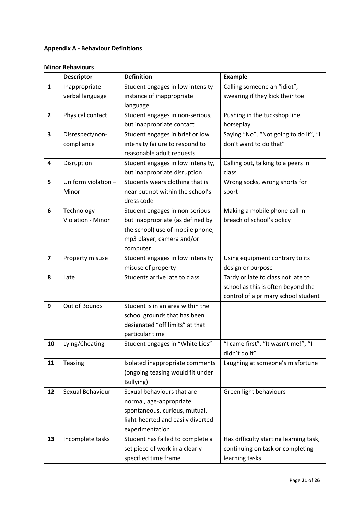## **Appendix A - Behaviour Definitions**

## **Minor Behaviours**

|                         | <b>Descriptor</b>    | <b>Definition</b>                 | <b>Example</b>                         |  |
|-------------------------|----------------------|-----------------------------------|----------------------------------------|--|
| $\mathbf{1}$            | Inappropriate        | Student engages in low intensity  | Calling someone an "idiot",            |  |
|                         | verbal language      | instance of inappropriate         | swearing if they kick their toe        |  |
|                         |                      | language                          |                                        |  |
| $\overline{2}$          | Physical contact     | Student engages in non-serious,   | Pushing in the tuckshop line,          |  |
|                         |                      | but inappropriate contact         | horseplay                              |  |
| 3                       | Disrespect/non-      | Student engages in brief or low   | Saying "No", "Not going to do it", "I  |  |
|                         | compliance           | intensity failure to respond to   | don't want to do that"                 |  |
|                         |                      | reasonable adult requests         |                                        |  |
| 4                       | Disruption           | Student engages in low intensity, | Calling out, talking to a peers in     |  |
|                         |                      | but inappropriate disruption      | class                                  |  |
| 5                       | Uniform violation -  | Students wears clothing that is   | Wrong socks, wrong shorts for          |  |
|                         | Minor                | near but not within the school's  | sport                                  |  |
|                         |                      | dress code                        |                                        |  |
| 6                       | Technology           | Student engages in non-serious    | Making a mobile phone call in          |  |
|                         | Violation - Minor    | but inappropriate (as defined by  | breach of school's policy              |  |
|                         |                      | the school) use of mobile phone,  |                                        |  |
|                         |                      | mp3 player, camera and/or         |                                        |  |
|                         |                      | computer                          |                                        |  |
| $\overline{\mathbf{z}}$ | Property misuse      | Student engages in low intensity  | Using equipment contrary to its        |  |
|                         |                      | misuse of property                | design or purpose                      |  |
| 8                       | Late                 | Students arrive late to class     | Tardy or late to class not late to     |  |
|                         |                      |                                   | school as this is often beyond the     |  |
|                         |                      |                                   | control of a primary school student    |  |
| 9                       | Out of Bounds        | Student is in an area within the  |                                        |  |
|                         |                      | school grounds that has been      |                                        |  |
|                         |                      | designated "off limits" at that   |                                        |  |
|                         |                      | particular time                   |                                        |  |
| 10                      | Lying/Cheating       | Student engages in "White Lies"   | "I came first", "It wasn't me!", "I    |  |
|                         |                      |                                   | didn't do it"                          |  |
| 11                      | Teasing              | Isolated inappropriate comments   | Laughing at someone's misfortune       |  |
|                         |                      | (ongoing teasing would fit under  |                                        |  |
|                         |                      | Bullying)                         |                                        |  |
| 12                      | Sexual Behaviour     | Sexual behaviours that are        | Green light behaviours                 |  |
|                         |                      | normal, age-appropriate,          |                                        |  |
|                         |                      | spontaneous, curious, mutual,     |                                        |  |
|                         |                      | light-hearted and easily diverted |                                        |  |
|                         |                      | experimentation.                  |                                        |  |
| 13                      | Incomplete tasks     | Student has failed to complete a  | Has difficulty starting learning task, |  |
|                         |                      | set piece of work in a clearly    | continuing on task or completing       |  |
|                         | specified time frame |                                   | learning tasks                         |  |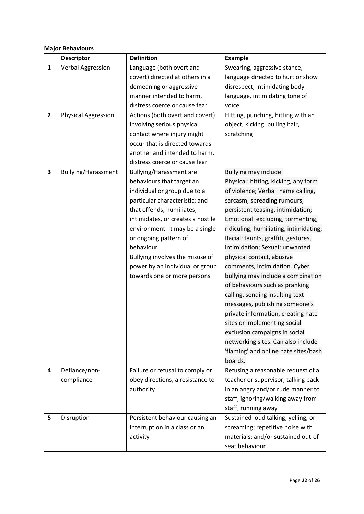#### **Major Behaviours**

|              | <b>Descriptor</b>          | <b>Definition</b>                 | <b>Example</b>                         |
|--------------|----------------------------|-----------------------------------|----------------------------------------|
| $\mathbf{1}$ | Verbal Aggression          | Language (both overt and          | Swearing, aggressive stance,           |
|              |                            | covert) directed at others in a   | language directed to hurt or show      |
|              |                            | demeaning or aggressive           | disrespect, intimidating body          |
|              |                            | manner intended to harm,          | language, intimidating tone of         |
|              |                            | distress coerce or cause fear     | voice                                  |
| $\mathbf{2}$ | <b>Physical Aggression</b> | Actions (both overt and covert)   | Hitting, punching, hitting with an     |
|              |                            | involving serious physical        | object, kicking, pulling hair,         |
|              |                            | contact where injury might        | scratching                             |
|              |                            | occur that is directed towards    |                                        |
|              |                            | another and intended to harm,     |                                        |
|              |                            | distress coerce or cause fear     |                                        |
| 3            | <b>Bullying/Harassment</b> | Bullying/Harassment are           | Bullying may include:                  |
|              |                            | behaviours that target an         | Physical: hitting, kicking, any form   |
|              |                            | individual or group due to a      | of violence; Verbal: name calling,     |
|              |                            | particular characteristic; and    | sarcasm, spreading rumours,            |
|              |                            | that offends, humiliates,         | persistent teasing, intimidation;      |
|              |                            | intimidates, or creates a hostile | Emotional: excluding, tormenting,      |
|              |                            | environment. It may be a single   | ridiculing, humiliating, intimidating; |
|              |                            | or ongoing pattern of             | Racial: taunts, graffiti, gestures,    |
|              |                            | behaviour.                        | intimidation; Sexual: unwanted         |
|              |                            | Bullying involves the misuse of   | physical contact, abusive              |
|              |                            | power by an individual or group   | comments, intimidation. Cyber          |
|              |                            | towards one or more persons       | bullying may include a combination     |
|              |                            |                                   | of behaviours such as pranking         |
|              |                            |                                   | calling, sending insulting text        |
|              |                            |                                   | messages, publishing someone's         |
|              |                            |                                   | private information, creating hate     |
|              |                            |                                   | sites or implementing social           |
|              |                            |                                   | exclusion campaigns in social          |
|              |                            |                                   | networking sites. Can also include     |
|              |                            |                                   | 'flaming' and online hate sites/bash   |
|              |                            |                                   | boards.                                |
| 4            | Defiance/non-              | Failure or refusal to comply or   | Refusing a reasonable request of a     |
|              | compliance                 | obey directions, a resistance to  | teacher or supervisor, talking back    |
|              |                            | authority                         | in an angry and/or rude manner to      |
|              |                            |                                   | staff, ignoring/walking away from      |
|              |                            |                                   | staff, running away                    |
| 5            | Disruption                 | Persistent behaviour causing an   | Sustained loud talking, yelling, or    |
|              |                            | interruption in a class or an     | screaming; repetitive noise with       |
|              |                            | activity                          | materials; and/or sustained out-of-    |
|              |                            |                                   | seat behaviour                         |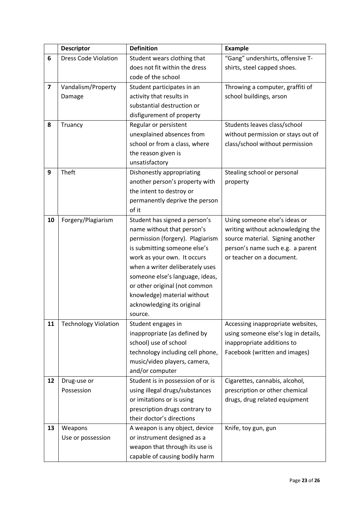|                         | <b>Descriptor</b>           | <b>Definition</b>                                                | <b>Example</b>                       |  |
|-------------------------|-----------------------------|------------------------------------------------------------------|--------------------------------------|--|
| 6                       | <b>Dress Code Violation</b> | Student wears clothing that                                      | "Gang" undershirts, offensive T-     |  |
|                         |                             | does not fit within the dress                                    | shirts, steel capped shoes.          |  |
|                         |                             | code of the school                                               |                                      |  |
| $\overline{\mathbf{z}}$ | Vandalism/Property          | Throwing a computer, graffiti of<br>Student participates in an   |                                      |  |
|                         | Damage                      | activity that results in                                         | school buildings, arson              |  |
|                         |                             | substantial destruction or                                       |                                      |  |
|                         |                             | disfigurement of property                                        |                                      |  |
| 8                       | Truancy                     | Regular or persistent                                            | Students leaves class/school         |  |
|                         |                             | unexplained absences from                                        | without permission or stays out of   |  |
|                         |                             | school or from a class, where                                    | class/school without permission      |  |
|                         |                             | the reason given is                                              |                                      |  |
|                         |                             | unsatisfactory                                                   |                                      |  |
| 9                       | Theft                       | Dishonestly appropriating                                        | Stealing school or personal          |  |
|                         |                             | another person's property with                                   | property                             |  |
|                         |                             | the intent to destroy or                                         |                                      |  |
|                         |                             | permanently deprive the person                                   |                                      |  |
|                         |                             | of it                                                            |                                      |  |
| 10                      | Forgery/Plagiarism          | Student has signed a person's                                    | Using someone else's ideas or        |  |
|                         | name without that person's  |                                                                  | writing without acknowledging the    |  |
|                         |                             | permission (forgery). Plagiarism                                 | source material. Signing another     |  |
|                         |                             | is submitting someone else's                                     | person's name such e.g. a parent     |  |
|                         |                             | work as your own. It occurs                                      | or teacher on a document.            |  |
|                         |                             | when a writer deliberately uses                                  |                                      |  |
|                         |                             | someone else's language, ideas,                                  |                                      |  |
|                         |                             | or other original (not common                                    |                                      |  |
|                         |                             | knowledge) material without                                      |                                      |  |
|                         |                             | acknowledging its original                                       |                                      |  |
|                         |                             | source.                                                          |                                      |  |
| 11                      | <b>Technology Violation</b> | Student engages in                                               | Accessing inappropriate websites,    |  |
|                         |                             | inappropriate (as defined by                                     | using someone else's log in details, |  |
|                         |                             | school) use of school                                            | inappropriate additions to           |  |
|                         |                             | technology including cell phone,                                 | Facebook (written and images)        |  |
|                         |                             | music/video players, camera,                                     |                                      |  |
|                         |                             | and/or computer                                                  |                                      |  |
| 12                      | Drug-use or                 | Student is in possession of or is                                | Cigarettes, cannabis, alcohol,       |  |
|                         | Possession                  | using illegal drugs/substances<br>prescription or other chemical |                                      |  |
|                         |                             | drugs, drug related equipment<br>or imitations or is using       |                                      |  |
|                         |                             | prescription drugs contrary to                                   |                                      |  |
|                         |                             | their doctor's directions                                        |                                      |  |
| 13                      | Weapons                     | A weapon is any object, device                                   | Knife, toy gun, gun                  |  |
|                         | Use or possession           | or instrument designed as a                                      |                                      |  |
|                         |                             | weapon that through its use is                                   |                                      |  |
|                         |                             | capable of causing bodily harm                                   |                                      |  |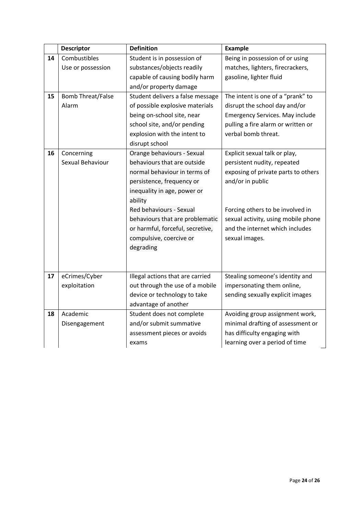|    | <b>Descriptor</b>        | <b>Definition</b>                | <b>Example</b>                         |  |
|----|--------------------------|----------------------------------|----------------------------------------|--|
| 14 | Combustibles             | Student is in possession of      | Being in possession of or using        |  |
|    | Use or possession        | substances/objects readily       | matches, lighters, firecrackers,       |  |
|    |                          | capable of causing bodily harm   | gasoline, lighter fluid                |  |
|    |                          | and/or property damage           |                                        |  |
| 15 | <b>Bomb Threat/False</b> | Student delivers a false message | The intent is one of a "prank" to      |  |
|    | Alarm                    | of possible explosive materials  | disrupt the school day and/or          |  |
|    |                          | being on-school site, near       | <b>Emergency Services. May include</b> |  |
|    |                          | school site, and/or pending      | pulling a fire alarm or written or     |  |
|    |                          | explosion with the intent to     | verbal bomb threat.                    |  |
|    |                          | disrupt school                   |                                        |  |
| 16 | Concerning               | Orange behaviours - Sexual       | Explicit sexual talk or play,          |  |
|    | Sexual Behaviour         | behaviours that are outside      | persistent nudity, repeated            |  |
|    |                          | normal behaviour in terms of     | exposing of private parts to others    |  |
|    |                          | persistence, frequency or        | and/or in public                       |  |
|    |                          | inequality in age, power or      |                                        |  |
|    |                          | ability                          |                                        |  |
|    |                          | Red behaviours - Sexual          | Forcing others to be involved in       |  |
|    |                          | behaviours that are problematic  | sexual activity, using mobile phone    |  |
|    |                          | or harmful, forceful, secretive, | and the internet which includes        |  |
|    |                          | compulsive, coercive or          | sexual images.                         |  |
|    |                          | degrading                        |                                        |  |
|    |                          |                                  |                                        |  |
|    |                          |                                  |                                        |  |
| 17 | eCrimes/Cyber            | Illegal actions that are carried | Stealing someone's identity and        |  |
|    | exploitation             | out through the use of a mobile  | impersonating them online,             |  |
|    |                          | device or technology to take     | sending sexually explicit images       |  |
|    |                          | advantage of another             |                                        |  |
| 18 | Academic                 | Student does not complete        | Avoiding group assignment work,        |  |
|    | Disengagement            | and/or submit summative          | minimal drafting of assessment or      |  |
|    |                          | assessment pieces or avoids      | has difficulty engaging with           |  |
|    |                          | exams                            | learning over a period of time         |  |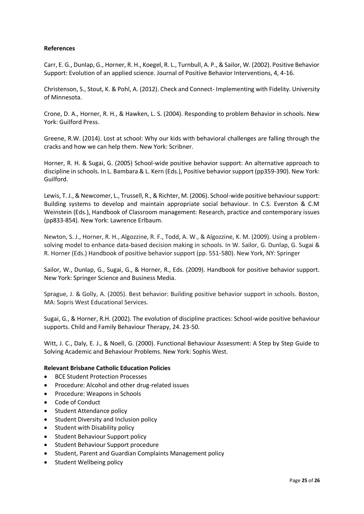#### **References**

Carr, E. G., Dunlap, G., Horner, R. H., Koegel, R. L., Turnbull, A. P., & Sailor, W. (2002). Positive Behavior Support: Evolution of an applied science. Journal of Positive Behavior Interventions, 4, 4-16.

Christenson, S., Stout, K. & Pohl, A. (2012). Check and Connect- Implementing with Fidelity. University of Minnesota.

Crone, D. A., Horner, R. H., & Hawken, L. S. (2004). Responding to problem Behavior in schools. New York: Guilford Press.

Greene, R.W. (2014). Lost at school: Why our kids with behavioral challenges are falling through the cracks and how we can help them. New York: Scribner.

Horner, R. H. & Sugai, G. (2005) School-wide positive behavior support: An alternative approach to discipline in schools. In L. Bambara & L. Kern (Eds.), Positive behavior support (pp359-390). New York: Guilford.

Lewis, T. J., & Newcomer, L., Trussell, R., & Richter, M. (2006). School-wide positive behaviour support: Building systems to develop and maintain appropriate social behaviour. In C.S. Everston & C.M Weinstein (Eds.), Handbook of Classroom management: Research, practice and contemporary issues (pp833-854). New York: Lawrence Erlbaum.

Newton, S. J., Horner, R. H., Algozzine, R. F., Todd, A. W., & Algozzine, K. M. (2009). Using a problemsolving model to enhance data-based decision making in schools. In W. Sailor, G. Dunlap, G. Sugai & R. Horner (Eds.) Handbook of positive behavior support (pp. 551-580). New York, NY: Springer

Sailor, W., Dunlap, G., Sugai, G., & Horner, R., Eds. (2009). Handbook for positive behavior support. New York: Springer Science and Business Media.

Sprague, J. & Golly, A. (2005). Best behavior: Building positive behavior support in schools. Boston, MA: Sopris West Educational Services.

Sugai, G., & Horner, R.H. (2002). The evolution of discipline practices: School-wide positive behaviour supports. Child and Family Behaviour Therapy, 24. 23-50.

Witt, J. C., Daly, E. J., & Noell, G. (2000). Functional Behaviour Assessment: A Step by Step Guide to Solving Academic and Behaviour Problems. New York: Sophis West.

#### **Relevant Brisbane Catholic Education Policies**

- BCE Student Protection Processes
- Procedure: Alcohol and other drug-related issues
- Procedure: Weapons in Schools
- Code of Conduct
- Student Attendance policy
- Student Diversity and Inclusion policy
- Student with Disability policy
- Student Behaviour Support policy
- Student Behaviour Support procedure
- Student, Parent and Guardian Complaints Management policy
- Student Wellbeing policy